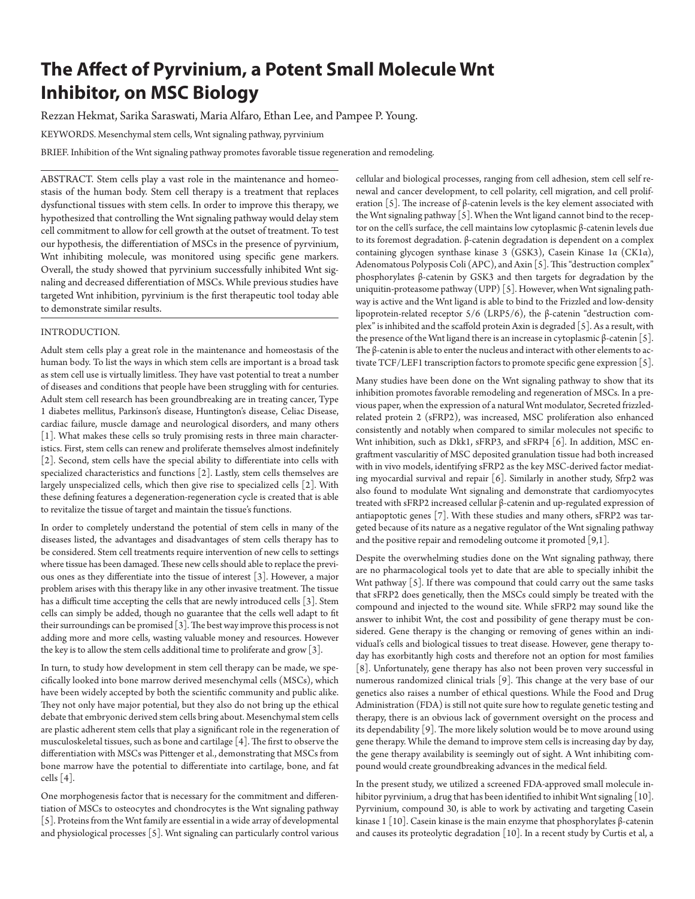# **The Affect of Pyrvinium, a Potent Small Molecule Wnt Inhibitor, on MSC Biology**

Rezzan Hekmat, Sarika Saraswati, Maria Alfaro, Ethan Lee, and Pampee P. Young.

KEYWORDS. Mesenchymal stem cells, Wnt signaling pathway, pyrvinium

BRIEF. Inhibition of the Wnt signaling pathway promotes favorable tissue regeneration and remodeling.

ABSTRACT. Stem cells play a vast role in the maintenance and homeostasis of the human body. Stem cell therapy is a treatment that replaces dysfunctional tissues with stem cells. In order to improve this therapy, we hypothesized that controlling the Wnt signaling pathway would delay stem cell commitment to allow for cell growth at the outset of treatment. To test our hypothesis, the differentiation of MSCs in the presence of pyrvinium, Wnt inhibiting molecule, was monitored using specific gene markers. Overall, the study showed that pyrvinium successfully inhibited Wnt signaling and decreased differentiation of MSCs. While previous studies have targeted Wnt inhibition, pyrvinium is the first therapeutic tool today able to demonstrate similar results.

# INTRODUCTION.

Adult stem cells play a great role in the maintenance and homeostasis of the human body. To list the ways in which stem cells are important is a broad task as stem cell use is virtually limitless. They have vast potential to treat a number of diseases and conditions that people have been struggling with for centuries. Adult stem cell research has been groundbreaking are in treating cancer, Type 1 diabetes mellitus, Parkinson's disease, Huntington's disease, Celiac Disease, cardiac failure, muscle damage and neurological disorders, and many others [1]. What makes these cells so truly promising rests in three main characteristics. First, stem cells can renew and proliferate themselves almost indefinitely [2]. Second, stem cells have the special ability to differentiate into cells with specialized characteristics and functions [2]. Lastly, stem cells themselves are largely unspecialized cells, which then give rise to specialized cells [2]. With these defining features a degeneration-regeneration cycle is created that is able to revitalize the tissue of target and maintain the tissue's functions.

In order to completely understand the potential of stem cells in many of the diseases listed, the advantages and disadvantages of stem cells therapy has to be considered. Stem cell treatments require intervention of new cells to settings where tissue has been damaged. These new cells should able to replace the previous ones as they differentiate into the tissue of interest [3]. However, a major problem arises with this therapy like in any other invasive treatment. The tissue has a difficult time accepting the cells that are newly introduced cells [3]. Stem cells can simply be added, though no guarantee that the cells well adapt to fit their surroundings can be promised [3]. The best way improve this process is not adding more and more cells, wasting valuable money and resources. However the key is to allow the stem cells additional time to proliferate and grow [3].

In turn, to study how development in stem cell therapy can be made, we specifically looked into bone marrow derived mesenchymal cells (MSCs), which have been widely accepted by both the scientific community and public alike. They not only have major potential, but they also do not bring up the ethical debate that embryonic derived stem cells bring about. Mesenchymal stem cells are plastic adherent stem cells that play a significant role in the regeneration of musculoskeletal tissues, such as bone and cartilage [4]. The first to observe the differentiation with MSCs was Pittenger et al., demonstrating that MSCs from bone marrow have the potential to differentiate into cartilage, bone, and fat cells [4].

One morphogenesis factor that is necessary for the commitment and differentiation of MSCs to osteocytes and chondrocytes is the Wnt signaling pathway [5]. Proteins from the Wnt family are essential in a wide array of developmental and physiological processes [5]. Wnt signaling can particularly control various

cellular and biological processes, ranging from cell adhesion, stem cell self renewal and cancer development, to cell polarity, cell migration, and cell proliferation [5]. The increase of  $\beta$ -catenin levels is the key element associated with the Wnt signaling pathway [5]. When the Wnt ligand cannot bind to the receptor on the cell's surface, the cell maintains low cytoplasmic β-catenin levels due to its foremost degradation. β-catenin degradation is dependent on a complex containing glycogen synthase kinase 3 (GSK3), Casein Kinase 1α (CK1α), Adenomatous Polyposis Coli (APC), and Axin [5]. This "destruction complex" phosphorylates β-catenin by GSK3 and then targets for degradation by the uniquitin-proteasome pathway (UPP) [5]. However, when Wnt signaling pathway is active and the Wnt ligand is able to bind to the Frizzled and low-density lipoprotein-related receptor 5/6 (LRP5/6), the β-catenin "destruction complex" is inhibited and the scaffold protein Axin is degraded [5]. As a result, with the presence of the Wnt ligand there is an increase in cytoplasmic β-catenin [5]. The β-catenin is able to enter the nucleus and interact with other elements to activate TCF/LEF1 transcription factors to promote specific gene expression [5].

Many studies have been done on the Wnt signaling pathway to show that its inhibition promotes favorable remodeling and regeneration of MSCs. In a previous paper, when the expression of a natural Wnt modulator, Secreted frizzledrelated protein 2 (sFRP2), was increased, MSC proliferation also enhanced consistently and notably when compared to similar molecules not specific to Wnt inhibition, such as Dkk1, sFRP3, and sFRP4 [6]. In addition, MSC engraftment vascularitiy of MSC deposited granulation tissue had both increased with in vivo models, identifying sFRP2 as the key MSC-derived factor mediating myocardial survival and repair [6]. Similarly in another study, Sfrp2 was also found to modulate Wnt signaling and demonstrate that cardiomyocytes treated with sFRP2 increased cellular β-catenin and up-regulated expression of antiapoptotic genes [7]. With these studies and many others, sFRP2 was targeted because of its nature as a negative regulator of the Wnt signaling pathway and the positive repair and remodeling outcome it promoted [9,1].

Despite the overwhelming studies done on the Wnt signaling pathway, there are no pharmacological tools yet to date that are able to specially inhibit the Wnt pathway [5]. If there was compound that could carry out the same tasks that sFRP2 does genetically, then the MSCs could simply be treated with the compound and injected to the wound site. While sFRP2 may sound like the answer to inhibit Wnt, the cost and possibility of gene therapy must be considered. Gene therapy is the changing or removing of genes within an individual's cells and biological tissues to treat disease. However, gene therapy today has exorbitantly high costs and therefore not an option for most families [8]. Unfortunately, gene therapy has also not been proven very successful in numerous randomized clinical trials [9]. This change at the very base of our genetics also raises a number of ethical questions. While the Food and Drug Administration (FDA) is still not quite sure how to regulate genetic testing and therapy, there is an obvious lack of government oversight on the process and its dependability [9]. The more likely solution would be to move around using gene therapy. While the demand to improve stem cells is increasing day by day, the gene therapy availability is seemingly out of sight. A Wnt inhibiting compound would create groundbreaking advances in the medical field.

In the present study, we utilized a screened FDA-approved small molecule inhibitor pyrvinium, a drug that has been identified to inhibit Wnt signaling [10]. Pyrvinium, compound 30, is able to work by activating and targeting Casein kinase 1 [10]. Casein kinase is the main enzyme that phosphorylates β-catenin and causes its proteolytic degradation [10]. In a recent study by Curtis et al, a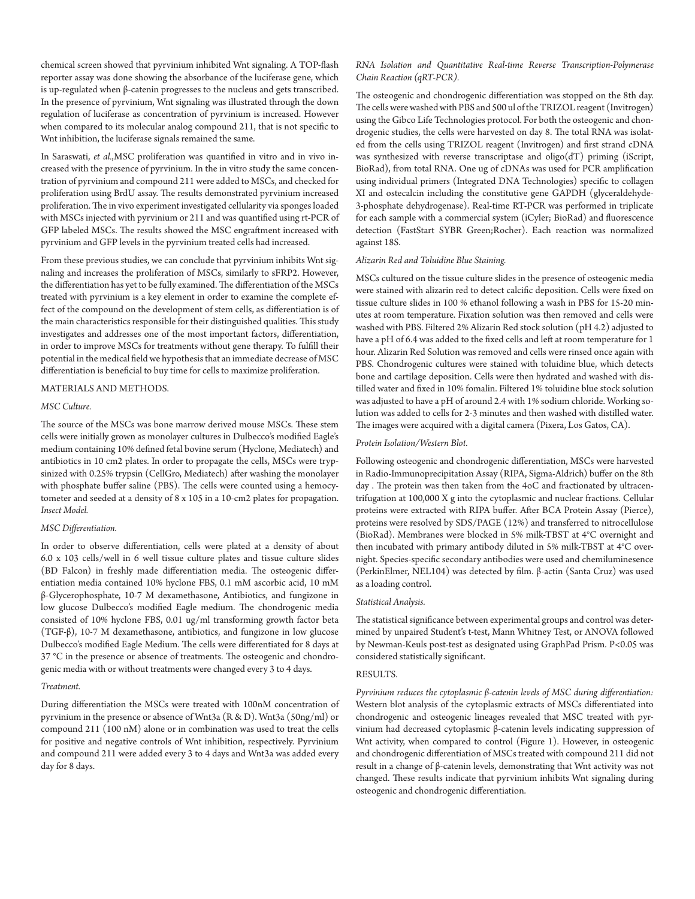chemical screen showed that pyrvinium inhibited Wnt signaling. A TOP-flash reporter assay was done showing the absorbance of the luciferase gene, which is up-regulated when β-catenin progresses to the nucleus and gets transcribed. In the presence of pyrvinium, Wnt signaling was illustrated through the down regulation of luciferase as concentration of pyrvinium is increased. However when compared to its molecular analog compound 211, that is not specific to Wnt inhibition, the luciferase signals remained the same.

In Saraswati, *et al.*,MSC proliferation was quantified in vitro and in vivo increased with the presence of pyrvinium. In the in vitro study the same concentration of pyrvinium and compound 211 were added to MSCs, and checked for proliferation using BrdU assay. The results demonstrated pyrvinium increased proliferation. The in vivo experiment investigated cellularity via sponges loaded with MSCs injected with pyrvinium or 211 and was quantified using rt-PCR of GFP labeled MSCs. The results showed the MSC engraftment increased with pyrvinium and GFP levels in the pyrvinium treated cells had increased.

From these previous studies, we can conclude that pyrvinium inhibits Wnt signaling and increases the proliferation of MSCs, similarly to sFRP2. However, the differentiation has yet to be fully examined. The differentiation of the MSCs treated with pyrvinium is a key element in order to examine the complete effect of the compound on the development of stem cells, as differentiation is of the main characteristics responsible for their distinguished qualities. This study investigates and addresses one of the most important factors, differentiation, in order to improve MSCs for treatments without gene therapy. To fulfill their potential in the medical field we hypothesis that an immediate decrease of MSC differentiation is beneficial to buy time for cells to maximize proliferation.

#### MATERIALS AND METHODS.

# *MSC Culture.*

The source of the MSCs was bone marrow derived mouse MSCs. These stem cells were initially grown as monolayer cultures in Dulbecco's modified Eagle's medium containing 10% defined fetal bovine serum (Hyclone, Mediatech) and antibiotics in 10 cm2 plates. In order to propagate the cells, MSCs were trypsinized with 0.25% trypsin (CellGro, Mediatech) after washing the monolayer with phosphate buffer saline (PBS). The cells were counted using a hemocytometer and seeded at a density of 8 x 105 in a 10-cm2 plates for propagation. *Insect Model.*

### *MSC Differentiation.*

In order to observe differentiation, cells were plated at a density of about 6.0 x 103 cells/well in 6 well tissue culture plates and tissue culture slides (BD Falcon) in freshly made differentiation media. The osteogenic differentiation media contained 10% hyclone FBS, 0.1 mM ascorbic acid, 10 mM β-Glycerophosphate, 10-7 M dexamethasone, Antibiotics, and fungizone in low glucose Dulbecco's modified Eagle medium. The chondrogenic media consisted of 10% hyclone FBS, 0.01 ug/ml transforming growth factor beta (TGF-β), 10-7 M dexamethasone, antibiotics, and fungizone in low glucose Dulbecco's modified Eagle Medium. The cells were differentiated for 8 days at 37 °C in the presence or absence of treatments. The osteogenic and chondrogenic media with or without treatments were changed every 3 to 4 days.

## *Treatment.*

During differentiation the MSCs were treated with 100nM concentration of pyrvinium in the presence or absence of Wnt3a (R & D). Wnt3a (50ng/ml) or compound 211 (100 nM) alone or in combination was used to treat the cells for positive and negative controls of Wnt inhibition, respectively. Pyrvinium and compound 211 were added every 3 to 4 days and Wnt3a was added every day for 8 days.

# *RNA Isolation and Quantitative Real-time Reverse Transcription-Polymerase Chain Reaction (qRT-PCR).*

The osteogenic and chondrogenic differentiation was stopped on the 8th day. The cells were washed with PBS and 500 ul of the TRIZOL reagent (Invitrogen) using the Gibco Life Technologies protocol. For both the osteogenic and chondrogenic studies, the cells were harvested on day 8. The total RNA was isolated from the cells using TRIZOL reagent (Invitrogen) and first strand cDNA was synthesized with reverse transcriptase and oligo(dT) priming (iScript, BioRad), from total RNA. One ug of cDNAs was used for PCR amplification using individual primers (Integrated DNA Technologies) specific to collagen XI and ostecalcin including the constitutive gene GAPDH (glyceraldehyde-3-phosphate dehydrogenase). Real-time RT-PCR was performed in triplicate for each sample with a commercial system (iCyler; BioRad) and fluorescence detection (FastStart SYBR Green;Rocher). Each reaction was normalized against 18S.

# *Alizarin Red and Toluidine Blue Staining.*

MSCs cultured on the tissue culture slides in the presence of osteogenic media were stained with alizarin red to detect calcific deposition. Cells were fixed on tissue culture slides in 100 % ethanol following a wash in PBS for 15-20 minutes at room temperature. Fixation solution was then removed and cells were washed with PBS. Filtered 2% Alizarin Red stock solution (pH 4.2) adjusted to have a pH of 6.4 was added to the fixed cells and left at room temperature for 1 hour. Alizarin Red Solution was removed and cells were rinsed once again with PBS. Chondrogenic cultures were stained with toluidine blue, which detects bone and cartilage deposition. Cells were then hydrated and washed with distilled water and fixed in 10% fomalin. Filtered 1% toluidine blue stock solution was adjusted to have a pH of around 2.4 with 1% sodium chloride. Working solution was added to cells for 2-3 minutes and then washed with distilled water. The images were acquired with a digital camera (Pixera, Los Gatos, CA).

### *Protein Isolation/Western Blot.*

Following osteogenic and chondrogenic differentiation, MSCs were harvested in Radio-Immunoprecipitation Assay (RIPA, Sigma-Aldrich) buffer on the 8th day . The protein was then taken from the 4oC and fractionated by ultracentrifugation at 100,000 X g into the cytoplasmic and nuclear fractions. Cellular proteins were extracted with RIPA buffer. After BCA Protein Assay (Pierce), proteins were resolved by SDS/PAGE (12%) and transferred to nitrocellulose (BioRad). Membranes were blocked in 5% milk-TBST at 4°C overnight and then incubated with primary antibody diluted in 5% milk-TBST at 4°C overnight. Species-specific secondary antibodies were used and chemiluminesence (PerkinElmer, NEL104) was detected by film. β-actin (Santa Cruz) was used as a loading control.

## *Statistical Analysis.*

The statistical significance between experimental groups and control was determined by unpaired Student's t-test, Mann Whitney Test, or ANOVA followed by Newman-Keuls post-test as designated using GraphPad Prism. P<0.05 was considered statistically significant.

# RESULTS.

*Pyrvinium reduces the cytoplasmic β-catenin levels of MSC during differentiation:* Western blot analysis of the cytoplasmic extracts of MSCs differentiated into chondrogenic and osteogenic lineages revealed that MSC treated with pyrvinium had decreased cytoplasmic β-catenin levels indicating suppression of Wnt activity, when compared to control (Figure 1). However, in osteogenic and chondrogenic differentiation of MSCs treated with compound 211 did not result in a change of β-catenin levels, demonstrating that Wnt activity was not changed. These results indicate that pyrvinium inhibits Wnt signaling during osteogenic and chondrogenic differentiation.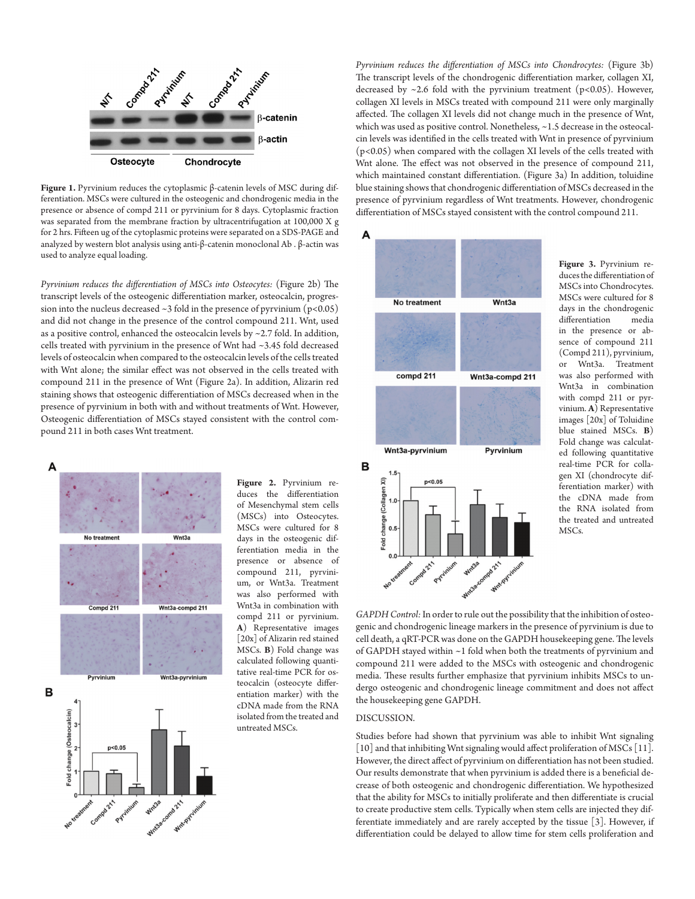

**Figure 1.** Pyrvinium reduces the cytoplasmic β-catenin levels of MSC during differentiation. MSCs were cultured in the osteogenic and chondrogenic media in the presence or absence of compd 211 or pyrvinium for 8 days. Cytoplasmic fraction was separated from the membrane fraction by ultracentrifugation at 100,000 X g for 2 hrs. Fifteen ug of the cytoplasmic proteins were separated on a SDS-PAGE and analyzed by western blot analysis using anti-β-catenin monoclonal Ab . β-actin was used to analyze equal loading.

*Pyrvinium reduces the differentiation of MSCs into Osteocytes:* (Figure 2b) The transcript levels of the osteogenic differentiation marker, osteocalcin, progression into the nucleus decreased  $\sim$ 3 fold in the presence of pyrvinium (p<0.05) and did not change in the presence of the control compound 211. Wnt, used as a positive control, enhanced the osteocalcin levels by ~2.7 fold. In addition, cells treated with pyrvinium in the presence of Wnt had ~3.45 fold decreased levels of osteocalcin when compared to the osteocalcin levels of the cells treated with Wnt alone; the similar effect was not observed in the cells treated with compound 211 in the presence of Wnt (Figure 2a). In addition, Alizarin red staining shows that osteogenic differentiation of MSCs decreased when in the presence of pyrvinium in both with and without treatments of Wnt. However, Osteogenic differentiation of MSCs stayed consistent with the control compound 211 in both cases Wnt treatment.



**Figure 2.** Pyrvinium reduces the differentiation of Mesenchymal stem cells (MSCs) into Osteocytes. MSCs were cultured for 8 days in the osteogenic differentiation media in the presence or absence of compound 211, pyrvinium, or Wnt3a. Treatment was also performed with Wnt3a in combination with compd 211 or pyrvinium. **A**) Representative images [20x] of Alizarin red stained MSCs. **B**) Fold change was calculated following quantitative real-time PCR for osteocalcin (osteocyte differentiation marker) with the cDNA made from the RNA isolated from the treated and untreated MSCs.

*Pyrvinium reduces the differentiation of MSCs into Chondrocytes:* (Figure 3b) The transcript levels of the chondrogenic differentiation marker, collagen XI, decreased by  $\sim$  2.6 fold with the pyrvinium treatment (p<0.05). However, collagen XI levels in MSCs treated with compound 211 were only marginally affected. The collagen XI levels did not change much in the presence of Wnt, which was used as positive control. Nonetheless, ~1.5 decrease in the osteocalcin levels was identified in the cells treated with Wnt in presence of pyrvinium (p<0.05) when compared with the collagen XI levels of the cells treated with Wnt alone. The effect was not observed in the presence of compound 211, which maintained constant differentiation. (Figure 3a) In addition, toluidine blue staining shows that chondrogenic differentiation of MSCs decreased in the presence of pyrvinium regardless of Wnt treatments. However, chondrogenic differentiation of MSCs stayed consistent with the control compound 211.



**Figure 3.** Pyrvinium reduces the differentiation of MSCs into Chondrocytes. MSCs were cultured for 8 days in the chondrogenic differentiation media in the presence or absence of compound 211 (Compd 211), pyrvinium, or Wnt3a. Treatment was also performed with Wnt3a in combination with compd 211 or pyrvinium. **A**) Representative images [20x] of Toluidine blue stained MSCs. **B**) Fold change was calculated following quantitative real-time PCR for collagen XI (chondrocyte differentiation marker) with the cDNA made from the RNA isolated from the treated and untreated MSCs.

*GAPDH Control:* In order to rule out the possibility that the inhibition of osteogenic and chondrogenic lineage markers in the presence of pyrvinium is due to cell death, a qRT-PCR was done on the GAPDH housekeeping gene. The levels of GAPDH stayed within ~1 fold when both the treatments of pyrvinium and compound 211 were added to the MSCs with osteogenic and chondrogenic media. These results further emphasize that pyrvinium inhibits MSCs to undergo osteogenic and chondrogenic lineage commitment and does not affect the housekeeping gene GAPDH.

## DISCUSSION.

Studies before had shown that pyrvinium was able to inhibit Wnt signaling [10] and that inhibiting Wnt signaling would affect proliferation of MSCs [11]. However, the direct affect of pyrvinium on differentiation has not been studied. Our results demonstrate that when pyrvinium is added there is a beneficial decrease of both osteogenic and chondrogenic differentiation. We hypothesized that the ability for MSCs to initially proliferate and then differentiate is crucial to create productive stem cells. Typically when stem cells are injected they differentiate immediately and are rarely accepted by the tissue [3]. However, if differentiation could be delayed to allow time for stem cells proliferation and